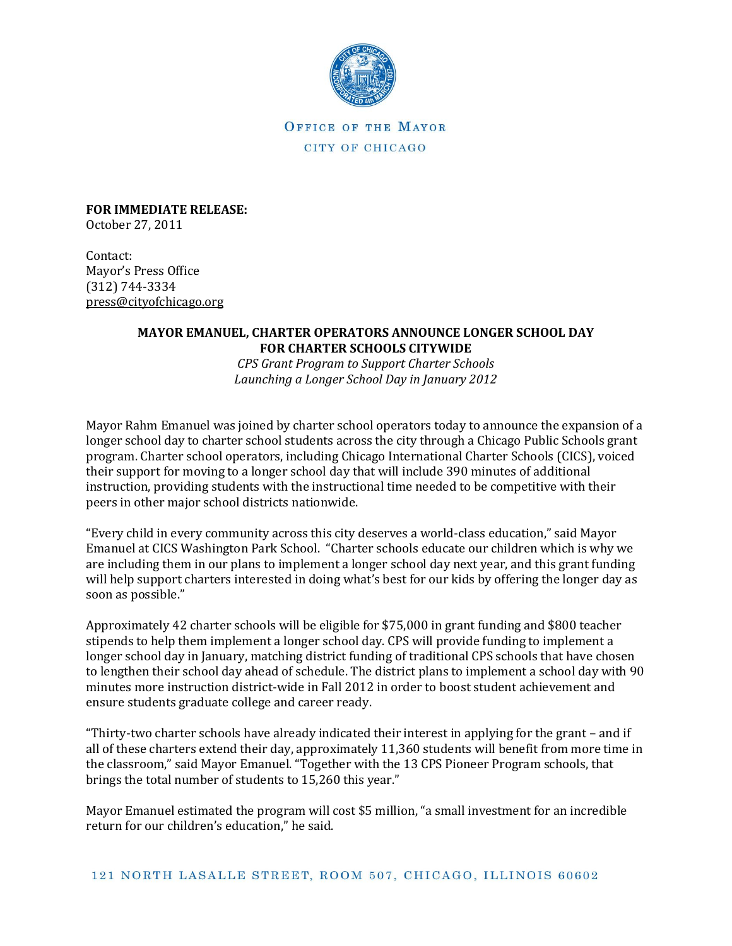

OFFICE OF THE MAYOR CITY OF CHICAGO

**FOR IMMEDIATE RELEASE:** October 27, 2011

Contact: Mayor's Press Office (312) 744-3334 [press@cityofchicago.org](mailto:press@cityofchicago.org)

## **MAYOR EMANUEL, CHARTER OPERATORS ANNOUNCE LONGER SCHOOL DAY FOR CHARTER SCHOOLS CITYWIDE**

*CPS Grant Program to Support Charter Schools Launching a Longer School Day in January 2012*

Mayor Rahm Emanuel was joined by charter school operators today to announce the expansion of a longer school day to charter school students across the city through a Chicago Public Schools grant program. Charter school operators, including Chicago International Charter Schools (CICS), voiced their support for moving to a longer school day that will include 390 minutes of additional instruction, providing students with the instructional time needed to be competitive with their peers in other major school districts nationwide.

"Every child in every community across this city deserves a world-class education," said Mayor Emanuel at CICS Washington Park School. "Charter schools educate our children which is why we are including them in our plans to implement a longer school day next year, and this grant funding will help support charters interested in doing what's best for our kids by offering the longer day as soon as possible."

Approximately 42 charter schools will be eligible for \$75,000 in grant funding and \$800 teacher stipends to help them implement a longer school day. CPS will provide funding to implement a longer school day in January, matching district funding of traditional CPS schools that have chosen to lengthen their school day ahead of schedule. The district plans to implement a school day with 90 minutes more instruction district-wide in Fall 2012 in order to boost student achievement and ensure students graduate college and career ready.

"Thirty-two charter schools have already indicated their interest in applying for the grant – and if all of these charters extend their day, approximately 11,360 students will benefit from more time in the classroom," said Mayor Emanuel. "Together with the 13 CPS Pioneer Program schools, that brings the total number of students to 15,260 this year."

Mayor Emanuel estimated the program will cost \$5 million, "a small investment for an incredible return for our children's education," he said.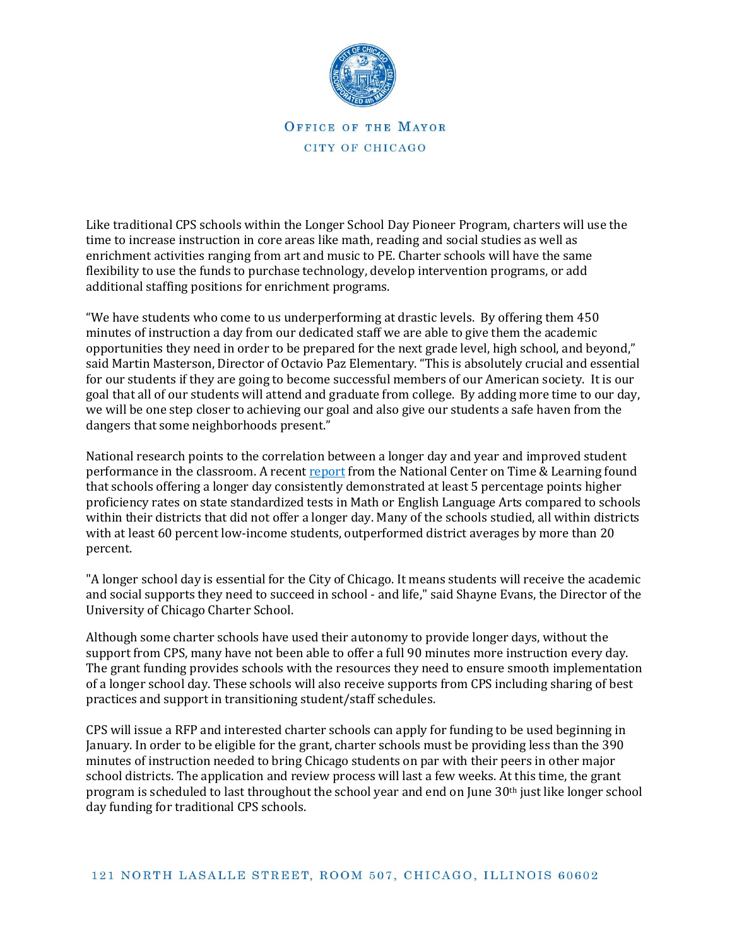

OFFICE OF THE MAYOR CITY OF CHICAGO

Like traditional CPS schools within the Longer School Day Pioneer Program, charters will use the time to increase instruction in core areas like math, reading and social studies as well as enrichment activities ranging from art and music to PE. Charter schools will have the same flexibility to use the funds to purchase technology, develop intervention programs, or add additional staffing positions for enrichment programs.

"We have students who come to us underperforming at drastic levels. By offering them 450 minutes of instruction a day from our dedicated staff we are able to give them the academic opportunities they need in order to be prepared for the next grade level, high school, and beyond," said Martin Masterson, Director of Octavio Paz Elementary. "This is absolutely crucial and essential for our students if they are going to become successful members of our American society. It is our goal that all of our students will attend and graduate from college. By adding more time to our day, we will be one step closer to achieving our goal and also give our students a safe haven from the dangers that some neighborhoods present."

National research points to the correlation between a longer day and year and improved student performance in the classroom. A recen[t report](http://www.ccc.edu/files/AdministratorsJobFamily110BenefitSummary.pdf) from the National Center on Time & Learning found that schools offering a longer day consistently demonstrated at least 5 percentage points higher proficiency rates on state standardized tests in Math or English Language Arts compared to schools within their districts that did not offer a longer day. Many of the schools studied, all within districts with at least 60 percent low-income students, outperformed district averages by more than 20 percent.

"A longer school day is essential for the City of Chicago. It means students will receive the academic and social supports they need to succeed in school - and life," said Shayne Evans, the Director of the University of Chicago Charter School.

Although some charter schools have used their autonomy to provide longer days, without the support from CPS, many have not been able to offer a full 90 minutes more instruction every day. The grant funding provides schools with the resources they need to ensure smooth implementation of a longer school day. These schools will also receive supports from CPS including sharing of best practices and support in transitioning student/staff schedules.

CPS will issue a RFP and interested charter schools can apply for funding to be used beginning in January. In order to be eligible for the grant, charter schools must be providing less than the 390 minutes of instruction needed to bring Chicago students on par with their peers in other major school districts. The application and review process will last a few weeks. At this time, the grant program is scheduled to last throughout the school year and end on June 30th just like longer school day funding for traditional CPS schools.